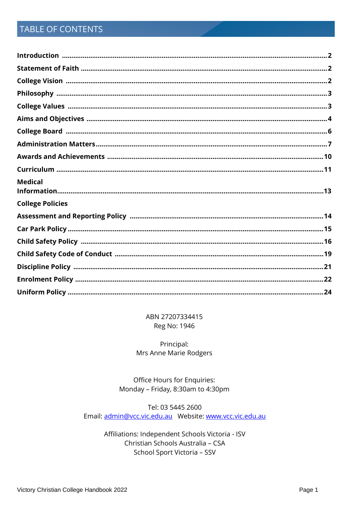# TABLE OF CONTENTS

| <b>Medical</b>          |  |
|-------------------------|--|
| <b>College Policies</b> |  |
|                         |  |
|                         |  |
|                         |  |
|                         |  |
|                         |  |
|                         |  |
|                         |  |

ABN 27207334415 Reg No: 1946

Principal: Mrs Anne Marie Rodgers

Office Hours for Enquiries: Monday - Friday, 8:30am to 4:30pm

Tel: 03 5445 2600 

> Affiliations: Independent Schools Victoria - ISV Christian Schools Australia - CSA School Sport Victoria - SSV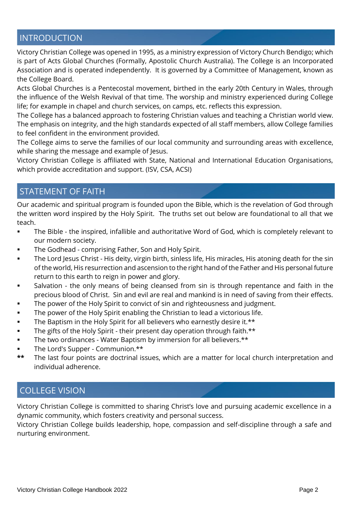# INTRODUCTION

Victory Christian College was opened in 1995, as a ministry expression of Victory Church Bendigo; which is part of Acts Global Churches (Formally, Apostolic Church Australia). The College is an Incorporated Association and is operated independently. It is governed by a Committee of Management, known as the College Board.

Acts Global Churches is a Pentecostal movement, birthed in the early 20th Century in Wales, through the influence of the Welsh Revival of that time. The worship and ministry experienced during College life; for example in chapel and church services, on camps, etc. reflects this expression.

The College has a balanced approach to fostering Christian values and teaching a Christian world view. The emphasis on integrity, and the high standards expected of all staff members, allow College families to feel confident in the environment provided.

The College aims to serve the families of our local community and surrounding areas with excellence, while sharing the message and example of Jesus.

Victory Christian College is affiliated with State, National and International Education Organisations, which provide accreditation and support. (ISV, CSA, ACSI)

# STATEMENT OF FAITH

Our academic and spiritual program is founded upon the Bible, which is the revelation of God through the written word inspired by the Holy Spirit. The truths set out below are foundational to all that we teach.

- The Bible the inspired, infallible and authoritative Word of God, which is completely relevant to our modern society.
- The Godhead comprising Father, Son and Holy Spirit.
- The Lord Jesus Christ His deity, virgin birth, sinless life, His miracles, His atoning death for the sin of the world, His resurrection and ascension to the right hand of the Father and His personal future return to this earth to reign in power and glory.
- Salvation the only means of being cleansed from sin is through repentance and faith in the precious blood of Christ. Sin and evil are real and mankind is in need of saving from their effects.
- The power of the Holy Spirit to convict of sin and righteousness and judgment.
- The power of the Holy Spirit enabling the Christian to lead a victorious life.
- The Baptism in the Holy Spirit for all believers who earnestly desire it.\*\*
- **•** The gifts of the Holy Spirit their present day operation through faith.\*\*
- The two ordinances Water Baptism by immersion for all believers.\*\*
- The Lord's Supper Communion.\*\*
- **\*\*** The last four points are doctrinal issues, which are a matter for local church interpretation and individual adherence.

# COLLEGE VISION

Victory Christian College is committed to sharing Christ's love and pursuing academic excellence in a dynamic community, which fosters creativity and personal success.

Victory Christian College builds leadership, hope, compassion and self-discipline through a safe and nurturing environment.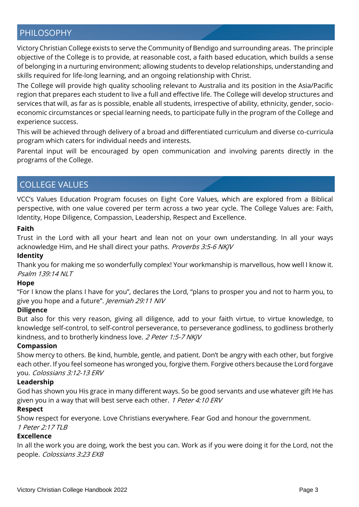# PHILOSOPHY

Victory Christian College exists to serve the Community of Bendigo and surrounding areas. The principle objective of the College is to provide, at reasonable cost, a faith based education, which builds a sense of belonging in a nurturing environment; allowing students to develop relationships, understanding and skills required for life-long learning, and an ongoing relationship with Christ.

The College will provide high quality schooling relevant to Australia and its position in the Asia/Pacific region that prepares each student to live a full and effective life. The College will develop structures and services that will, as far as is possible, enable all students, irrespective of ability, ethnicity, gender, socioeconomic circumstances or special learning needs, to participate fully in the program of the College and experience success.

This will be achieved through delivery of a broad and differentiated curriculum and diverse co-curricula program which caters for individual needs and interests.

Parental input will be encouraged by open communication and involving parents directly in the programs of the College.

# COLLEGE VALUES

VCC's Values Education Program focuses on Eight Core Values, which are explored from a Biblical perspective, with one value covered per term across a two year cycle. The College Values are: Faith, Identity, Hope Diligence, Compassion, Leadership, Respect and Excellence.

#### **Faith**

Trust in the Lord with all your heart and lean not on your own understanding. In all your ways acknowledge Him, and He shall direct your paths. Proverbs 3:5-6 NKJV

### **Identity**

Thank you for making me so wonderfully complex! Your workmanship is marvellous, how well I know it. Psalm 139:14 NLT

### **Hope**

"For I know the plans I have for you", declares the Lord, "plans to prosper you and not to harm you, to give you hope and a future". Jeremiah 29:11 N/V

### **Diligence**

But also for this very reason, giving all diligence, add to your faith virtue, to virtue knowledge, to knowledge self-control, to self-control perseverance, to perseverance godliness, to godliness brotherly kindness, and to brotherly kindness love. 2 Peter 1:5-7 NKJV

#### **Compassion**

Show mercy to others. Be kind, humble, gentle, and patient. Don't be angry with each other, but forgive each other. If you feel someone has wronged you, forgive them. Forgive others because the Lord forgave you. Colossians 3:12-13 ERV

### **Leadership**

God has shown you His grace in many different ways. So be good servants and use whatever gift He has given you in a way that will best serve each other. 1 Peter 4:10 ERV

### **Respect**

Show respect for everyone. Love Christians everywhere. Fear God and honour the government. 1 Peter 2:17 TLB

### **Excellence**

In all the work you are doing, work the best you can. Work as if you were doing it for the Lord, not the people. Colossians 3:23 EXB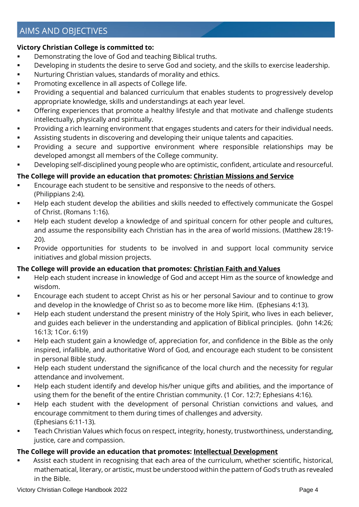# AIMS AND OBJECTIVES

### **Victory Christian College is committed to:**

- Demonstrating the love of God and teaching Biblical truths.
- **EXEDENTIFY IDEVELOPING in Students the desire to serve God and society, and the skills to exercise leadership.**
- Nurturing Christian values, standards of morality and ethics.
- Promoting excellence in all aspects of College life.
- **•** Providing a sequential and balanced curriculum that enables students to progressively develop appropriate knowledge, skills and understandings at each year level.
- **•** Offering experiences that promote a healthy lifestyle and that motivate and challenge students intellectually, physically and spiritually.
- Providing a rich learning environment that engages students and caters for their individual needs.
- Assisting students in discovering and developing their unique talents and capacities.
- Providing a secure and supportive environment where responsible relationships may be developed amongst all members of the College community.
- Developing self-disciplined young people who are optimistic, confident, articulate and resourceful.

### **The College will provide an education that promotes: Christian Missions and Service**

- Encourage each student to be sensitive and responsive to the needs of others. (Philippians 2:4).
- Help each student develop the abilities and skills needed to effectively communicate the Gospel of Christ. (Romans 1:16).
- Help each student develop a knowledge of and spiritual concern for other people and cultures, and assume the responsibility each Christian has in the area of world missions. (Matthew 28:19- 20).
- Provide opportunities for students to be involved in and support local community service initiatives and global mission projects.

### **The College will provide an education that promotes: Christian Faith and Values**

- Help each student increase in knowledge of God and accept Him as the source of knowledge and wisdom.
- Encourage each student to accept Christ as his or her personal Saviour and to continue to grow and develop in the knowledge of Christ so as to become more like Him. (Ephesians 4:13).
- Help each student understand the present ministry of the Holy Spirit, who lives in each believer, and guides each believer in the understanding and application of Biblical principles. (John 14:26; 16:13; 1Cor. 6:19)
- Help each student gain a knowledge of, appreciation for, and confidence in the Bible as the only inspired, infallible, and authoritative Word of God, and encourage each student to be consistent in personal Bible study.
- Help each student understand the significance of the local church and the necessity for regular attendance and involvement.
- Help each student identify and develop his/her unique gifts and abilities, and the importance of using them for the benefit of the entire Christian community. (1 Cor. 12:7; Ephesians 4:16).
- Help each student with the development of personal Christian convictions and values, and encourage commitment to them during times of challenges and adversity. (Ephesians 6:11-13).
- Teach Christian Values which focus on respect, integrity, honesty, trustworthiness, understanding, justice, care and compassion.

### **The College will provide an education that promotes: Intellectual Development**

Assist each student in recognising that each area of the curriculum, whether scientific, historical, mathematical, literary, or artistic, must be understood within the pattern of God's truth as revealed in the Bible.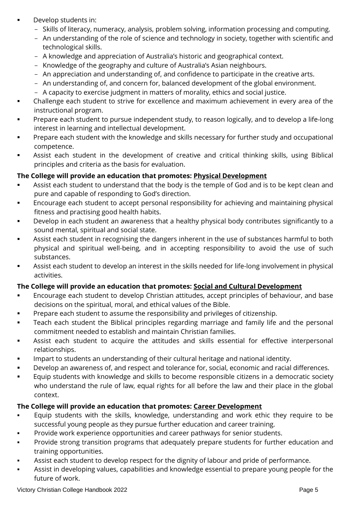- Develop students in:
	- Skills of literacy, numeracy, analysis, problem solving, information processing and computing.
	- An understanding of the role of science and technology in society, together with scientific and technological skills.
	- A knowledge and appreciation of Australia's historic and geographical context.
	- Knowledge of the geography and culture of Australia's Asian neighbours.
	- An appreciation and understanding of, and confidence to participate in the creative arts.
	- An understanding of, and concern for, balanced development of the global environment.
	- A capacity to exercise judgment in matters of morality, ethics and social justice.
- Challenge each student to strive for excellence and maximum achievement in every area of the instructional program.
- Prepare each student to pursue independent study, to reason logically, and to develop a life-long interest in learning and intellectual development.
- **•** Prepare each student with the knowledge and skills necessary for further study and occupational competence.
- Assist each student in the development of creative and critical thinking skills, using Biblical principles and criteria as the basis for evaluation.

### **The College will provide an education that promotes: Physical Development**

- Assist each student to understand that the body is the temple of God and is to be kept clean and pure and capable of responding to God's direction.
- Encourage each student to accept personal responsibility for achieving and maintaining physical fitness and practising good health habits.
- Develop in each student an awareness that a healthy physical body contributes significantly to a sound mental, spiritual and social state.
- Assist each student in recognising the dangers inherent in the use of substances harmful to both physical and spiritual well-being, and in accepting responsibility to avoid the use of such substances.
- Assist each student to develop an interest in the skills needed for life-long involvement in physical activities.

### **The College will provide an education that promotes: Social and Cultural Development**

- Encourage each student to develop Christian attitudes, accept principles of behaviour, and base decisions on the spiritual, moral, and ethical values of the Bible.
- Prepare each student to assume the responsibility and privileges of citizenship.
- **•** Teach each student the Biblical principles regarding marriage and family life and the personal commitment needed to establish and maintain Christian families.
- **EXEL Assist each student to acquire the attitudes and skills essential for effective interpersonal** relationships.
- Impart to students an understanding of their cultural heritage and national identity.
- Develop an awareness of, and respect and tolerance for, social, economic and racial differences.
- Equip students with knowledge and skills to become responsible citizens in a democratic society who understand the rule of law, equal rights for all before the law and their place in the global context.

### **The College will provide an education that promotes: Career Development**

- Equip students with the skills, knowledge, understanding and work ethic they require to be successful young people as they pursue further education and career training.
- Provide work experience opportunities and career pathways for senior students.
- **•** Provide strong transition programs that adequately prepare students for further education and training opportunities.
- Assist each student to develop respect for the dignity of labour and pride of performance.
- **EXECT** Assist in developing values, capabilities and knowledge essential to prepare young people for the future of work.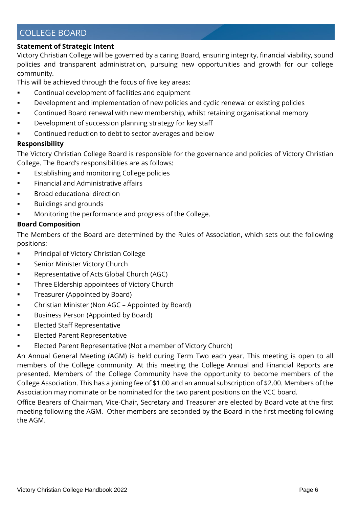# COLLEGE BOARD

### **Statement of Strategic Intent**

Victory Christian College will be governed by a caring Board, ensuring integrity, financial viability, sound policies and transparent administration, pursuing new opportunities and growth for our college community.

This will be achieved through the focus of five key areas:

- Continual development of facilities and equipment
- **•** Development and implementation of new policies and cyclic renewal or existing policies
- **•** Continued Board renewal with new membership, whilst retaining organisational memory
- **■** Development of succession planning strategy for key staff
- Continued reduction to debt to sector averages and below

### **Responsibility**

The Victory Christian College Board is responsible for the governance and policies of Victory Christian College. The Board's responsibilities are as follows:

- **Establishing and monitoring College policies**
- **•** Financial and Administrative affairs
- Broad educational direction
- Buildings and grounds
- Monitoring the performance and progress of the College.

### **Board Composition**

The Members of the Board are determined by the Rules of Association, which sets out the following positions:

- Principal of Victory Christian College
- Senior Minister Victory Church
- Representative of Acts Global Church (AGC)
- Three Eldership appointees of Victory Church
- **•** Treasurer (Appointed by Board)
- Christian Minister (Non AGC Appointed by Board)
- **■** Business Person (Appointed by Board)
- **Elected Staff Representative**
- Elected Parent Representative
- Elected Parent Representative (Not a member of Victory Church)

An Annual General Meeting (AGM) is held during Term Two each year. This meeting is open to all members of the College community. At this meeting the College Annual and Financial Reports are presented. Members of the College Community have the opportunity to become members of the College Association. This has a joining fee of \$1.00 and an annual subscription of \$2.00. Members of the Association may nominate or be nominated for the two parent positions on the VCC board.

Office Bearers of Chairman, Vice-Chair, Secretary and Treasurer are elected by Board vote at the first meeting following the AGM. Other members are seconded by the Board in the first meeting following the AGM.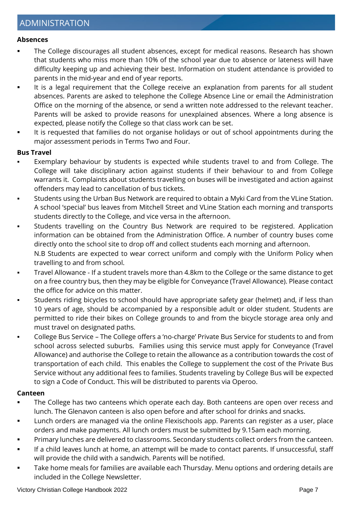#### **Absences**

- The College discourages all student absences, except for medical reasons. Research has shown that students who miss more than 10% of the school year due to absence or lateness will have difficulty keeping up and achieving their best. Information on student attendance is provided to parents in the mid-year and end of year reports.
- It is a legal requirement that the College receive an explanation from parents for all student absences. Parents are asked to telephone the College Absence Line or email the Administration Office on the morning of the absence, or send a written note addressed to the relevant teacher. Parents will be asked to provide reasons for unexplained absences. Where a long absence is expected, please notify the College so that class work can be set.
- It is requested that families do not organise holidays or out of school appointments during the major assessment periods in Terms Two and Four.

### **Bus Travel**

- Exemplary behaviour by students is expected while students travel to and from College. The College will take disciplinary action against students if their behaviour to and from College warrants it. Complaints about students travelling on buses will be investigated and action against offenders may lead to cancellation of bus tickets.
- Students using the Urban Bus Network are required to obtain a Myki Card from the VLine Station. A school 'special' bus leaves from Mitchell Street and VLine Station each morning and transports students directly to the College, and vice versa in the afternoon.
- Students travelling on the Country Bus Network are required to be registered. Application information can be obtained from the Administration Office. A number of country buses come directly onto the school site to drop off and collect students each morning and afternoon. N.B Students are expected to wear correct uniform and comply with the Uniform Policy when travelling to and from school.
- Travel Allowance If a student travels more than 4.8km to the College or the same distance to get on a free country bus, then they may be eligible for Conveyance (Travel Allowance). Please contact the office for advice on this matter.
- Students riding bicycles to school should have appropriate safety gear (helmet) and, if less than 10 years of age, should be accompanied by a responsible adult or older student. Students are permitted to ride their bikes on College grounds to and from the bicycle storage area only and must travel on designated paths.
- College Bus Service The College offers a 'no-charge' Private Bus Service for students to and from school across selected suburbs. Families using this service must apply for Conveyance (Travel Allowance) and authorise the College to retain the allowance as a contribution towards the cost of transportation of each child. This enables the College to supplement the cost of the Private Bus Service without any additional fees to families. Students traveling by College Bus will be expected to sign a Code of Conduct. This will be distributed to parents via Operoo.

#### **Canteen**

- The College has two canteens which operate each day. Both canteens are open over recess and lunch. The Glenavon canteen is also open before and after school for drinks and snacks.
- Lunch orders are managed via the online Flexischools app. Parents can register as a user, place orders and make payments. All lunch orders must be submitted by 9.15am each morning.
- Primary lunches are delivered to classrooms. Secondary students collect orders from the canteen.
- If a child leaves lunch at home, an attempt will be made to contact parents. If unsuccessful, staff will provide the child with a sandwich. Parents will be notified.
- Take home meals for families are available each Thursday. Menu options and ordering details are included in the College Newsletter.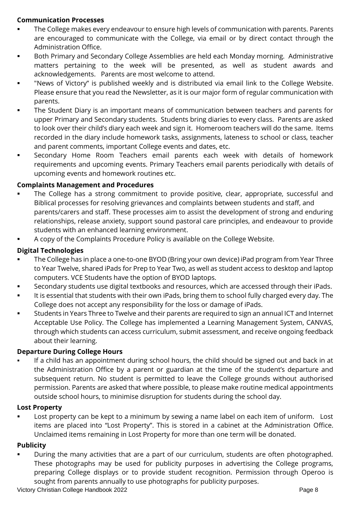### **Communication Processes**

- The College makes every endeavour to ensure high levels of communication with parents. Parents are encouraged to communicate with the College, via email or by direct contact through the Administration Office.
- **■** Both Primary and Secondary College Assemblies are held each Monday morning. Administrative matters pertaining to the week will be presented, as well as student awards and acknowledgements. Parents are most welcome to attend.
- "News of Victory" is published weekly and is distributed via email link to the College Website. Please ensure that you read the Newsletter, as it is our major form of regular communication with parents.
- The Student Diary is an important means of communication between teachers and parents for upper Primary and Secondary students. Students bring diaries to every class. Parents are asked to look over their child's diary each week and sign it. Homeroom teachers will do the same. Items recorded in the diary include homework tasks, assignments, lateness to school or class, teacher and parent comments, important College events and dates, etc.
- Secondary Home Room Teachers email parents each week with details of homework requirements and upcoming events. Primary Teachers email parents periodically with details of upcoming events and homework routines etc.

### **Complaints Management and Procedures**

- The College has a strong commitment to provide positive, clear, appropriate, successful and Biblical processes for resolving grievances and complaints between students and staff, and parents/carers and staff. These processes aim to assist the development of strong and enduring relationships, release anxiety, support sound pastoral care principles, and endeavour to provide students with an enhanced learning environment.
- A copy of the Complaints Procedure Policy is available on the College Website.

### **Digital Technologies**

- The College has in place a one-to-one BYOD (Bring your own device) iPad program from Year Three to Year Twelve, shared iPads for Prep to Year Two, as well as student access to desktop and laptop computers. VCE Students have the option of BYOD laptops.
- Secondary students use digital textbooks and resources, which are accessed through their iPads.
- It is essential that students with their own iPads, bring them to school fully charged every day. The College does not accept any responsibility for the loss or damage of iPads.
- Students in Years Three to Twelve and their parents are required to sign an annual ICT and Internet Acceptable Use Policy. The College has implemented a Learning Management System, CANVAS, through which students can access curriculum, submit assessment, and receive ongoing feedback about their learning.

### **Departure During College Hours**

If a child has an appointment during school hours, the child should be signed out and back in at the Administration Office by a parent or guardian at the time of the student's departure and subsequent return. No student is permitted to leave the College grounds without authorised permission. Parents are asked that where possible, to please make routine medical appointments outside school hours, to minimise disruption for students during the school day.

### **Lost Property**

Lost property can be kept to a minimum by sewing a name label on each item of uniform. Lost items are placed into "Lost Property". This is stored in a cabinet at the Administration Office. Unclaimed items remaining in Lost Property for more than one term will be donated.

### **Publicity**

During the many activities that are a part of our curriculum, students are often photographed. These photographs may be used for publicity purposes in advertising the College programs, preparing College displays or to provide student recognition. Permission through Operoo is sought from parents annually to use photographs for publicity purposes.

Victory Christian College Handbook 2022 **Page 8** Page 8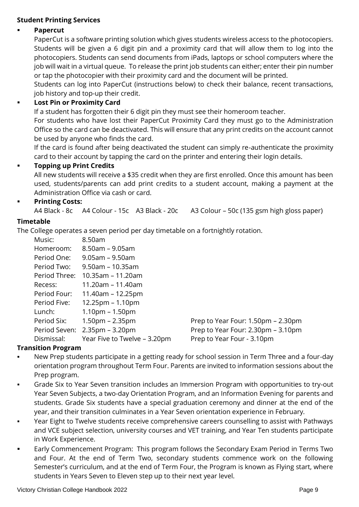### **Student Printing Services**

### **Papercut**

PaperCut is a software printing solution which gives students wireless access to the photocopiers. Students will be given a 6 digit pin and a proximity card that will allow them to log into the photocopiers. Students can send documents from iPads, laptops or school computers where the job will wait in a virtual queue. To release the print job students can either; enter their pin number or tap the photocopier with their proximity card and the document will be printed.

Students can log into PaperCut (instructions below) to check their balance, recent transactions, job history and top-up their credit.

### ▪ **Lost Pin or Proximity Card**

If a student has forgotten their 6 digit pin they must see their homeroom teacher.

For students who have lost their PaperCut Proximity Card they must go to the Administration Office so the card can be deactivated. This will ensure that any print credits on the account cannot be used by anyone who finds the card.

If the card is found after being deactivated the student can simply re-authenticate the proximity card to their account by tapping the card on the printer and entering their login details.

### **Topping up Print Credits**

All new students will receive a \$35 credit when they are first enrolled. Once this amount has been used, students/parents can add print credits to a student account, making a payment at the Administration Office via cash or card.

### **Printing Costs:**

A4 Black - 8c A4 Colour - 15c A3 Black - 20c A3 Colour – 50c (135 gsm high gloss paper)

### **Timetable**

The College operates a seven period per day timetable on a fortnightly rotation.

| Music:        | 8.50am                             |                                    |
|---------------|------------------------------------|------------------------------------|
| Homeroom:     | $8.50$ am – $9.05$ am              |                                    |
| Period One:   | $9.05$ am – $9.50$ am              |                                    |
| Period Two:   | $9.50$ am – 10.35am                |                                    |
| Period Three: | 10.35am - 11.20am                  |                                    |
| Recess:       | 11.20am - 11.40am                  |                                    |
| Period Four:  | $11.40$ am – 12.25pm               |                                    |
| Period Five:  | $12.25 \text{pm} - 1.10 \text{pm}$ |                                    |
| Lunch:        | $1.10pm - 1.50pm$                  |                                    |
| Period Six:   | $1.50pm - 2.35pm$                  | Prep to Year Four: 1.50pm – 2.30pm |
| Period Seven: | $2.35$ pm – 3.20pm                 | Prep to Year Four: 2.30pm - 3.10pm |
| Dismissal:    | Year Five to Twelve - 3.20pm       | Prep to Year Four - 3.10pm         |

### **Transition Program**

- New Prep students participate in a getting ready for school session in Term Three and a four-day orientation program throughout Term Four. Parents are invited to information sessions about the Prep program.
- **Grade Six to Year Seven transition includes an Immersion Program with opportunities to try-out** Year Seven Subjects, a two-day Orientation Program, and an Information Evening for parents and students. Grade Six students have a special graduation ceremony and dinner at the end of the year, and their transition culminates in a Year Seven orientation experience in February.
- Year Eight to Twelve students receive comprehensive careers counselling to assist with Pathways and VCE subject selection, university courses and VET training, and Year Ten students participate in Work Experience.
- Early Commencement Program: This program follows the Secondary Exam Period in Terms Two and Four. At the end of Term Two, secondary students commence work on the following Semester's curriculum, and at the end of Term Four, the Program is known as Flying start, where students in Years Seven to Eleven step up to their next year level.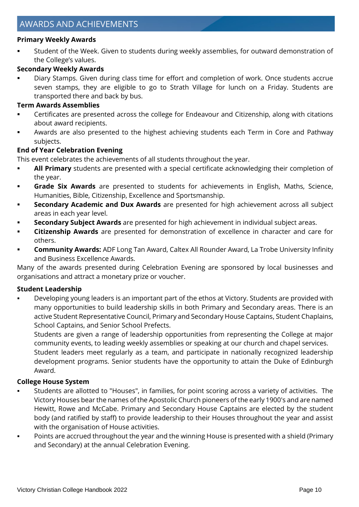### **Primary Weekly Awards**

Student of the Week. Given to students during weekly assemblies, for outward demonstration of the College's values.

### **Secondary Weekly Awards**

Diary Stamps. Given during class time for effort and completion of work. Once students accrue seven stamps, they are eligible to go to Strath Village for lunch on a Friday. Students are transported there and back by bus.

### **Term Awards Assemblies**

- Certificates are presented across the college for Endeavour and Citizenship, along with citations about award recipients.
- Awards are also presented to the highest achieving students each Term in Core and Pathway subjects.

### **End of Year Celebration Evening**

This event celebrates the achievements of all students throughout the year.

- **EXECT All Primary** students are presented with a special certificate acknowledging their completion of the year.
- **Grade Six Awards** are presented to students for achievements in English, Maths, Science, Humanities, Bible, Citizenship, Excellence and Sportsmanship.
- **Secondary Academic and Dux Awards** are presented for high achievement across all subject areas in each year level.
- Secondary Subject Awards are presented for high achievement in individual subject areas.
- **Citizenship Awards** are presented for demonstration of excellence in character and care for others.
- **Community Awards:** ADF Long Tan Award, Caltex All Rounder Award, La Trobe University Infinity and Business Excellence Awards.

Many of the awards presented during Celebration Evening are sponsored by local businesses and organisations and attract a monetary prize or voucher.

### **Student Leadership**

Developing young leaders is an important part of the ethos at Victory. Students are provided with many opportunities to build leadership skills in both Primary and Secondary areas. There is an active Student Representative Council, Primary and Secondary House Captains, Student Chaplains, School Captains, and Senior School Prefects.

Students are given a range of leadership opportunities from representing the College at major community events, to leading weekly assemblies or speaking at our church and chapel services.

Student leaders meet regularly as a team, and participate in nationally recognized leadership development programs. Senior students have the opportunity to attain the Duke of Edinburgh Award.

### **College House System**

- Students are allotted to "Houses", in families, for point scoring across a variety of activities. The Victory Houses bear the names of the Apostolic Church pioneers of the early 1900's and are named Hewitt, Rowe and McCabe. Primary and Secondary House Captains are elected by the student body (and ratified by staff) to provide leadership to their Houses throughout the year and assist with the organisation of House activities.
- Points are accrued throughout the year and the winning House is presented with a shield (Primary and Secondary) at the annual Celebration Evening.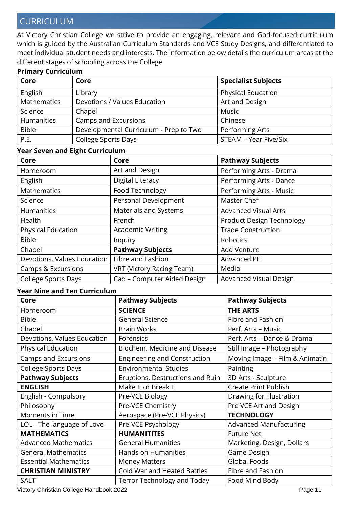# CURRICULUM

At Victory Christian College we strive to provide an engaging, relevant and God-focused curriculum which is guided by the Australian Curriculum Standards and VCE Study Designs, and differentiated to meet individual student needs and interests. The information below details the curriculum areas at the different stages of schooling across the College.

### **Primary Curriculum**

| Core         | Core                                   | <b>Specialist Subjects</b> |
|--------------|----------------------------------------|----------------------------|
| English      | Library                                | <b>Physical Education</b>  |
| Mathematics  | Devotions / Values Education           | Art and Design             |
| Science      | Chapel                                 | Music                      |
| Humanities   | Camps and Excursions                   | Chinese                    |
| <b>Bible</b> | Developmental Curriculum - Prep to Two | Performing Arts            |
| P.E.         | <b>College Sports Days</b>             | STEAM - Year Five/Six      |

#### **Year Seven and Eight Curriculum**

| Core                          | Core                        | <b>Pathway Subjects</b>     |
|-------------------------------|-----------------------------|-----------------------------|
| Homeroom                      | Art and Design              | Performing Arts - Drama     |
| English                       | Digital Literacy            | Performing Arts - Dance     |
| <b>Mathematics</b>            | Food Technology             | Performing Arts - Music     |
| Science                       | Personal Development        | Master Chef                 |
| <b>Humanities</b>             | Materials and Systems       | <b>Advanced Visual Arts</b> |
| Health                        | French                      | Product Design Technology   |
| <b>Physical Education</b>     | <b>Academic Writing</b>     | <b>Trade Construction</b>   |
| <b>Bible</b>                  | Inquiry                     | Robotics                    |
| Chapel                        | <b>Pathway Subjects</b>     | <b>Add Venture</b>          |
| Devotions, Values Education   | Fibre and Fashion           | <b>Advanced PE</b>          |
| <b>Camps &amp; Excursions</b> | VRT (Victory Racing Team)   | Media                       |
| <b>College Sports Days</b>    | Cad - Computer Aided Design | Advanced Visual Design      |

### **Year Nine and Ten Curriculum**

| Core                         | <b>Pathway Subjects</b>             | <b>Pathway Subjects</b>        |
|------------------------------|-------------------------------------|--------------------------------|
| Homeroom                     | <b>SCIENCE</b>                      | <b>THE ARTS</b>                |
| <b>Bible</b>                 | <b>General Science</b>              | Fibre and Fashion              |
| Chapel                       | <b>Brain Works</b>                  | Perf. Arts - Music             |
| Devotions, Values Education  | Forensics                           | Perf. Arts - Dance & Drama     |
| Physical Education           | Biochem. Medicine and Disease       | Still Image - Photography      |
| <b>Camps and Excursions</b>  | <b>Engineering and Construction</b> | Moving Image - Film & Animat'n |
| <b>College Sports Days</b>   | <b>Environmental Studies</b>        | Painting                       |
| <b>Pathway Subjects</b>      | Eruptions, Destructions and Ruin    | 3D Arts - Sculpture            |
| <b>ENGLISH</b>               | Make It or Break It                 | <b>Create Print Publish</b>    |
| English - Compulsory         | Pre-VCE Biology                     | Drawing for Illustration       |
| Philosophy                   | Pre-VCE Chemistry                   | Pre VCE Art and Design         |
| Moments in Time              | Aerospace (Pre-VCE Physics)         | <b>TECHNOLOGY</b>              |
| LOL - The language of Love   | Pre-VCE Psychology                  | <b>Advanced Manufacturing</b>  |
| <b>MATHEMATICS</b>           | <b>HUMANITITES</b>                  | <b>Future Net</b>              |
| <b>Advanced Mathematics</b>  | <b>General Humanities</b>           | Marketing, Design, Dollars     |
| <b>General Mathematics</b>   | Hands on Humanities                 | Game Design                    |
| <b>Essential Mathematics</b> | <b>Money Matters</b>                | <b>Global Foods</b>            |
| <b>CHRISTIAN MINISTRY</b>    | <b>Cold War and Heated Battles</b>  | Fibre and Fashion              |
| <b>SALT</b>                  | Terror Technology and Today         | Food Mind Body                 |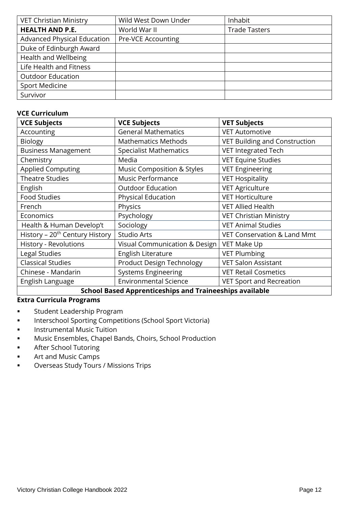| <b>VET Christian Ministry</b>      | Wild West Down Under | Inhabit              |
|------------------------------------|----------------------|----------------------|
| <b>HEALTH AND P.E.</b>             | World War II         | <b>Trade Tasters</b> |
| <b>Advanced Physical Education</b> | Pre-VCE Accounting   |                      |
| Duke of Edinburgh Award            |                      |                      |
| Health and Wellbeing               |                      |                      |
| Life Health and Fitness            |                      |                      |
| <b>Outdoor Education</b>           |                      |                      |
| <b>Sport Medicine</b>              |                      |                      |
| Survivor                           |                      |                      |

### **VCE Curriculum**

| <b>VCE Subjects</b>                                            | <b>VCE Subjects</b>           | <b>VET Subjects</b>                  |
|----------------------------------------------------------------|-------------------------------|--------------------------------------|
| Accounting                                                     | <b>General Mathematics</b>    | <b>VET Automotive</b>                |
| <b>Biology</b>                                                 | <b>Mathematics Methods</b>    | <b>VET Building and Construction</b> |
| <b>Business Management</b>                                     | <b>Specialist Mathematics</b> | VET Integrated Tech                  |
| Chemistry                                                      | Media                         | <b>VET Equine Studies</b>            |
| <b>Applied Computing</b>                                       | Music Composition & Styles    | <b>VET Engineering</b>               |
| <b>Theatre Studies</b>                                         | Music Performance             | <b>VET Hospitality</b>               |
| English                                                        | <b>Outdoor Education</b>      | <b>VET Agriculture</b>               |
| <b>Food Studies</b>                                            | Physical Education            | <b>VET Horticulture</b>              |
| French                                                         | Physics                       | <b>VET Allied Health</b>             |
| Economics                                                      | Psychology                    | <b>VET Christian Ministry</b>        |
| Health & Human Develop't                                       | Sociology                     | <b>VET Animal Studies</b>            |
| History - 20 <sup>th</sup> Century History                     | Studio Arts                   | VET Conservation & Land Mmt          |
| History - Revolutions                                          | Visual Communication & Design | VET Make Up                          |
| Legal Studies                                                  | English Literature            | <b>VET Plumbing</b>                  |
| <b>Classical Studies</b>                                       | Product Design Technology     | <b>VET Salon Assistant</b>           |
| Chinese - Mandarin                                             | <b>Systems Engineering</b>    | <b>VET Retail Cosmetics</b>          |
| English Language                                               | <b>Environmental Science</b>  | <b>VET Sport and Recreation</b>      |
| <b>School Based Apprenticeships and Traineeships available</b> |                               |                                      |

#### **Extra Curricula Programs**

- Student Leadership Program
- Interschool Sporting Competitions (School Sport Victoria)
- **■** Instrumental Music Tuition
- Music Ensembles, Chapel Bands, Choirs, School Production
- After School Tutoring
- Art and Music Camps
- Overseas Study Tours / Missions Trips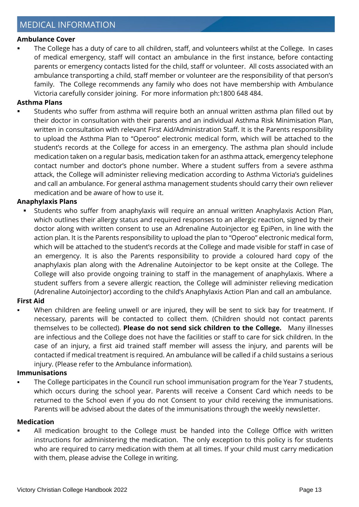# MEDICAL INFORMATION

#### **Ambulance Cover**

The College has a duty of care to all children, staff, and volunteers whilst at the College. In cases of medical emergency, staff will contact an ambulance in the first instance, before contacting parents or emergency contacts listed for the child, staff or volunteer. All costs associated with an ambulance transporting a child, staff member or volunteer are the responsibility of that person's family. The College recommends any family who does not have membership with Ambulance Victoria carefully consider joining. For more information ph:1800 648 484.

#### **Asthma Plans**

Students who suffer from asthma will require both an annual written asthma plan filled out by their doctor in consultation with their parents and an individual Asthma Risk Minimisation Plan, written in consultation with relevant First Aid/Administration Staff. It is the Parents responsibility to upload the Asthma Plan to "Operoo" electronic medical form, which will be attached to the student's records at the College for access in an emergency. The asthma plan should include medication taken on a regular basis, medication taken for an asthma attack, emergency telephone contact number and doctor's phone number. Where a student suffers from a severe asthma attack, the College will administer relieving medication according to Asthma Victoria's guidelines and call an ambulance. For general asthma management students should carry their own reliever medication and be aware of how to use it.

#### **Anaphylaxis Plans**

Students who suffer from anaphylaxis will require an annual written Anaphylaxis Action Plan, which outlines their allergy status and required responses to an allergic reaction, signed by their doctor along with written consent to use an Adrenaline Autoinjector eg EpiPen, in line with the action plan. It is the Parents responsibility to upload the plan to "Operoo" electronic medical form, which will be attached to the student's records at the College and made visible for staff in case of an emergency. It is also the Parents responsibility to provide a coloured hard copy of the anaphylaxis plan along with the Adrenaline Autoinjector to be kept onsite at the College. The College will also provide ongoing training to staff in the management of anaphylaxis. Where a student suffers from a severe allergic reaction, the College will administer relieving medication (Adrenaline Autoinjector) according to the child's Anaphylaxis Action Plan and call an ambulance.

### **First Aid**

When children are feeling unwell or are injured, they will be sent to sick bay for treatment. If necessary, parents will be contacted to collect them. (Children should not contact parents themselves to be collected). **Please do not send sick children to the College.** Many illnesses are infectious and the College does not have the facilities or staff to care for sick children. In the case of an injury, a first aid trained staff member will assess the injury, and parents will be contacted if medical treatment is required. An ambulance will be called if a child sustains a serious injury. (Please refer to the Ambulance information).

#### **Immunisations**

The College participates in the Council run school immunisation program for the Year 7 students, which occurs during the school year. Parents will receive a Consent Card which needs to be returned to the School even if you do not Consent to your child receiving the immunisations. Parents will be advised about the dates of the immunisations through the weekly newsletter.

#### **Medication**

All medication brought to the College must be handed into the College Office with written instructions for administering the medication. The only exception to this policy is for students who are required to carry medication with them at all times. If your child must carry medication with them, please advise the College in writing.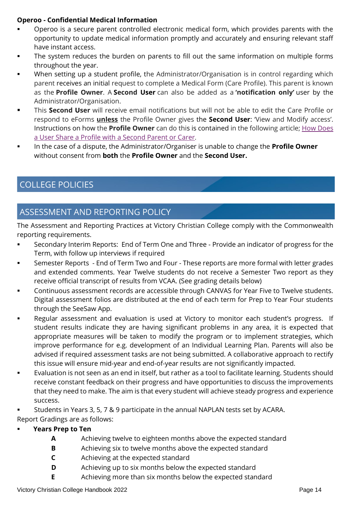### **Operoo - Confidential Medical Information**

- Operoo is a secure parent controlled electronic medical form, which provides parents with the opportunity to update medical information promptly and accurately and ensuring relevant staff have instant access.
- The system reduces the burden on parents to fill out the same information on multiple forms throughout the year.
- When setting up a student profile, the Administrator/Organisation is in control regarding which parent receives an initial request to complete a Medical Form (Care Profile). This parent is known as the **Profile Owner**. A **Second User** can also be added as a **'notification only'** user by the Administrator/Organisation.
- This **Second User** will receive email notifications but will not be able to edit the Care Profile or respond to eForms **unless** the Profile Owner gives the **Second User**: 'View and Modify access'. Instructions on how the **Profile Owner** can do this is contained in the following article[; How Does](https://desk.zoho.com/portal/caremonkey/kb/articles/how-does-a-user-share-a-profile-with-a-second-parent-or-carer)  [a User Share a Profile with a Second Parent or Carer](https://desk.zoho.com/portal/caremonkey/kb/articles/how-does-a-user-share-a-profile-with-a-second-parent-or-carer)*.*
- In the case of a dispute, the Administrator/Organiser is unable to change the **Profile Owner** without consent from **both** the **Profile Owner** and the **Second User.**

# COLLEGE POLICIES

# ASSESSMENT AND REPORTING POLICY

The Assessment and Reporting Practices at Victory Christian College comply with the Commonwealth reporting requirements.

- Secondary Interim Reports: End of Term One and Three Provide an indicator of progress for the Term, with follow up interviews if required
- **EXECT:** Semester Reports End of Term Two and Four These reports are more formal with letter grades and extended comments. Year Twelve students do not receive a Semester Two report as they receive official transcript of results from VCAA. (See grading details below)
- Continuous assessment records are accessible through CANVAS for Year Five to Twelve students. Digital assessment folios are distributed at the end of each term for Prep to Year Four students through the SeeSaw App.
- Regular assessment and evaluation is used at Victory to monitor each student's progress. If student results indicate they are having significant problems in any area, it is expected that appropriate measures will be taken to modify the program or to implement strategies, which improve performance for e.g. development of an Individual Learning Plan. Parents will also be advised if required assessment tasks are not being submitted. A collaborative approach to rectify this issue will ensure mid-year and end-of-year results are not significantly impacted.
- Evaluation is not seen as an end in itself, but rather as a tool to facilitate learning. Students should receive constant feedback on their progress and have opportunities to discuss the improvements that they need to make. The aim is that every student will achieve steady progress and experience success.
- Students in Years 3, 5, 7 & 9 participate in the annual NAPLAN tests set by ACARA.

Report Gradings are as follows:

- **Years Prep to Ten**
	- **A** Achieving twelve to eighteen months above the expected standard
	- **B** Achieving six to twelve months above the expected standard
	- **C** Achieving at the expected standard
	- **D** Achieving up to six months below the expected standard
	- **E** Achieving more than six months below the expected standard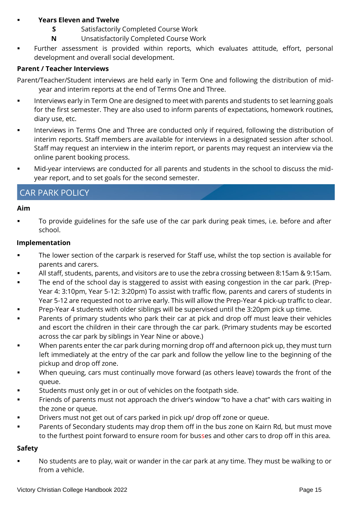### **Years Eleven and Twelve**

- **S** Satisfactorily Completed Course Work
- **N** Unsatisfactorily Completed Course Work
- Further assessment is provided within reports, which evaluates attitude, effort, personal development and overall social development.

### **Parent / Teacher Interviews**

Parent/Teacher/Student interviews are held early in Term One and following the distribution of midyear and interim reports at the end of Terms One and Three.

- **Interviews early in Term One are designed to meet with parents and students to set learning goals** for the first semester. They are also used to inform parents of expectations, homework routines, diary use, etc.
- Interviews in Terms One and Three are conducted only if required, following the distribution of interim reports. Staff members are available for interviews in a designated session after school. Staff may request an interview in the interim report, or parents may request an interview via the online parent booking process.
- Mid-year interviews are conducted for all parents and students in the school to discuss the midyear report, and to set goals for the second semester.

# CAR PARK POLICY

### **Aim**

To provide guidelines for the safe use of the car park during peak times, i.e. before and after school.

### **Implementation**

- The lower section of the carpark is reserved for Staff use, whilst the top section is available for parents and carers.
- All staff, students, parents, and visitors are to use the zebra crossing between 8:15am & 9:15am.
- The end of the school day is staggered to assist with easing congestion in the car park. (Prep-Year 4: 3:10pm, Year 5-12: 3:20pm) To assist with traffic flow, parents and carers of students in Year 5-12 are requested not to arrive early. This will allow the Prep-Year 4 pick-up traffic to clear.
- Prep-Year 4 students with older siblings will be supervised until the 3:20pm pick up time.
- Parents of primary students who park their car at pick and drop off must leave their vehicles and escort the children in their care through the car park. (Primary students may be escorted across the car park by siblings in Year Nine or above.)
- When parents enter the car park during morning drop off and afternoon pick up, they must turn left immediately at the entry of the car park and follow the yellow line to the beginning of the pickup and drop off zone.
- When queuing, cars must continually move forward (as others leave) towards the front of the queue.
- Students must only get in or out of vehicles on the footpath side.
- Friends of parents must not approach the driver's window "to have a chat" with cars waiting in the zone or queue.
- Drivers must not get out of cars parked in pick up/ drop off zone or queue.
- Parents of Secondary students may drop them off in the bus zone on Kairn Rd, but must move to the furthest point forward to ensure room for busses and other cars to drop off in this area.

### **Safety**

No students are to play, wait or wander in the car park at any time. They must be walking to or from a vehicle.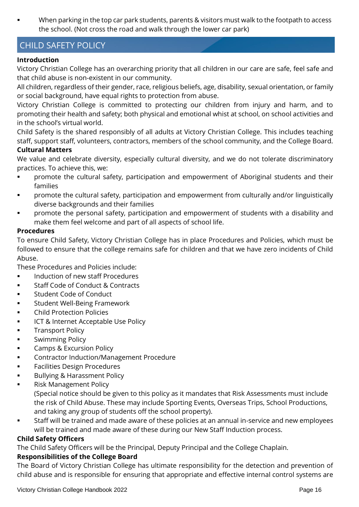When parking in the top car park students, parents & visitors must walk to the footpath to access the school. (Not cross the road and walk through the lower car park)

# CHILD SAFETY POLICY

### **Introduction**

Victory Christian College has an overarching priority that all children in our care are safe, feel safe and that child abuse is non-existent in our community.

All children, regardless of their gender, race, religious beliefs, age, disability, sexual orientation, or family or social background, have equal rights to protection from abuse.

Victory Christian College is committed to protecting our children from injury and harm, and to promoting their health and safety; both physical and emotional whist at school, on school activities and in the school's virtual world.

Child Safety is the shared responsibly of all adults at Victory Christian College. This includes teaching staff, support staff, volunteers, contractors, members of the school community, and the College Board. **Cultural Matters**

We value and celebrate diversity, especially cultural diversity, and we do not tolerate discriminatory practices. To achieve this, we:

- **•** promote the cultural safety, participation and empowerment of Aboriginal students and their families
- **•** promote the cultural safety, participation and empowerment from culturally and/or linguistically diverse backgrounds and their families
- promote the personal safety, participation and empowerment of students with a disability and make them feel welcome and part of all aspects of school life.

### **Procedures**

To ensure Child Safety, Victory Christian College has in place Procedures and Policies, which must be followed to ensure that the college remains safe for children and that we have zero incidents of Child Abuse.

These Procedures and Policies include:

- Induction of new staff Procedures
- Staff Code of Conduct & Contracts
- Student Code of Conduct
- Student Well-Being Framework
- Child Protection Policies
- ICT & Internet Acceptable Use Policy
- **■** Transport Policy
- **■** Swimming Policy
- **•** Camps & Excursion Policy
- Contractor Induction/Management Procedure
- Facilities Design Procedures
- Bullying & Harassment Policy
- **Risk Management Policy** (Special notice should be given to this policy as it mandates that Risk Assessments must include the risk of Child Abuse. These may include Sporting Events, Overseas Trips, School Productions, and taking any group of students off the school property).
- Staff will be trained and made aware of these policies at an annual in-service and new employees will be trained and made aware of these during our New Staff Induction process.

### **Child Safety Officers**

The Child Safety Officers will be the Principal, Deputy Principal and the College Chaplain.

### **Responsibilities of the College Board**

The Board of Victory Christian College has ultimate responsibility for the detection and prevention of child abuse and is responsible for ensuring that appropriate and effective internal control systems are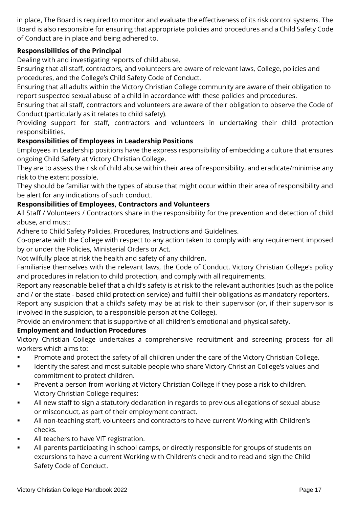in place, The Board is required to monitor and evaluate the effectiveness of its risk control systems. The Board is also responsible for ensuring that appropriate policies and procedures and a Child Safety Code of Conduct are in place and being adhered to.

### **Responsibilities of the Principal**

Dealing with and investigating reports of child abuse.

Ensuring that all staff, contractors, and volunteers are aware of relevant laws, College, policies and procedures, and the College's Child Safety Code of Conduct.

Ensuring that all adults within the Victory Christian College community are aware of their obligation to report suspected sexual abuse of a child in accordance with these policies and procedures.

Ensuring that all staff, contractors and volunteers are aware of their obligation to observe the Code of Conduct (particularly as it relates to child safety).

Providing support for staff, contractors and volunteers in undertaking their child protection responsibilities.

### **Responsibilities of Employees in Leadership Positions**

Employees in Leadership positions have the express responsibility of embedding a culture that ensures ongoing Child Safety at Victory Christian College.

They are to assess the risk of child abuse within their area of responsibility, and eradicate/minimise any risk to the extent possible.

They should be familiar with the types of abuse that might occur within their area of responsibility and be alert for any indications of such conduct.

### **Responsibilities of Employees, Contractors and Volunteers**

All Staff / Volunteers / Contractors share in the responsibility for the prevention and detection of child abuse, and must:

Adhere to Child Safety Policies, Procedures, Instructions and Guidelines.

Co-operate with the College with respect to any action taken to comply with any requirement imposed by or under the Policies, Ministerial Orders or Act.

Not wilfully place at risk the health and safety of any children.

Familiarise themselves with the relevant laws, the Code of Conduct, Victory Christian College's policy and procedures in relation to child protection, and comply with all requirements.

Report any reasonable belief that a child's safety is at risk to the relevant authorities (such as the police and / or the state - based child protection service) and fulfill their obligations as mandatory reporters. Report any suspicion that a child's safety may be at risk to their supervisor (or, if their supervisor is involved in the suspicion, to a responsible person at the College).

Provide an environment that is supportive of all children's emotional and physical safety.

### **Employment and Induction Procedures**

Victory Christian College undertakes a comprehensive recruitment and screening process for all workers which aims to:

- Promote and protect the safety of all children under the care of the Victory Christian College.
- **■** Identify the safest and most suitable people who share Victory Christian College's values and commitment to protect children.
- **Prevent a person from working at Victory Christian College if they pose a risk to children.** Victory Christian College requires:
- All new staff to sign a statutory declaration in regards to previous allegations of sexual abuse or misconduct, as part of their employment contract.
- All non-teaching staff, volunteers and contractors to have current Working with Children's checks.
- All teachers to have VIT registration.
- All parents participating in school camps, or directly responsible for groups of students on excursions to have a current Working with Children's check and to read and sign the Child Safety Code of Conduct.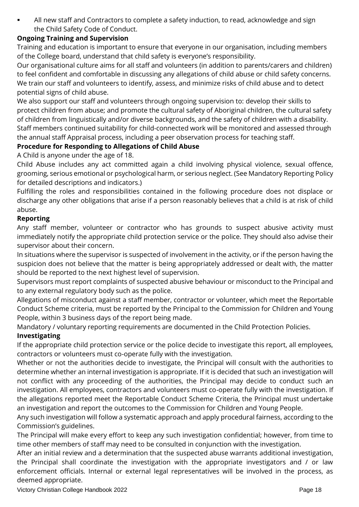All new staff and Contractors to complete a safety induction, to read, acknowledge and sign the Child Safety Code of Conduct.

### **Ongoing Training and Supervision**

Training and education is important to ensure that everyone in our organisation, including members of the College board, understand that child safety is everyone's responsibility.

Our organisational culture aims for all staff and volunteers (in addition to parents/carers and children) to feel confident and comfortable in discussing any allegations of child abuse or child safety concerns. We train our staff and volunteers to identify, assess, and minimize risks of child abuse and to detect potential signs of child abuse.

We also support our staff and volunteers through ongoing supervision to: develop their skills to protect children from abuse; and promote the cultural safety of Aboriginal children, the cultural safety of children from linguistically and/or diverse backgrounds, and the safety of children with a disability. Staff members continued suitability for child-connected work will be monitored and assessed through the annual staff Appraisal process, including a peer observation process for teaching staff.

### **Procedure for Responding to Allegations of Child Abuse**

A Child is anyone under the age of 18.

Child Abuse includes any act committed again a child involving physical violence, sexual offence, grooming, serious emotional or psychological harm, or serious neglect. (See Mandatory Reporting Policy for detailed descriptions and indicators.)

Fulfilling the roles and responsibilities contained in the following procedure does not displace or discharge any other obligations that arise if a person reasonably believes that a child is at risk of child abuse.

### **Reporting**

Any staff member, volunteer or contractor who has grounds to suspect abusive activity must immediately notify the appropriate child protection service or the police. They should also advise their supervisor about their concern.

In situations where the supervisor is suspected of involvement in the activity, or if the person having the suspicion does not believe that the matter is being appropriately addressed or dealt with, the matter should be reported to the next highest level of supervision.

Supervisors must report complaints of suspected abusive behaviour or misconduct to the Principal and to any external regulatory body such as the police.

Allegations of misconduct against a staff member, contractor or volunteer, which meet the Reportable Conduct Scheme criteria, must be reported by the Principal to the Commission for Children and Young People, within 3 business days of the report being made.

Mandatory / voluntary reporting requirements are documented in the Child Protection Policies. **Investigating** 

If the appropriate child protection service or the police decide to investigate this report, all employees, contractors or volunteers must co-operate fully with the investigation.

Whether or not the authorities decide to investigate, the Principal will consult with the authorities to determine whether an internal investigation is appropriate. If it is decided that such an investigation will not conflict with any proceeding of the authorities, the Principal may decide to conduct such an investigation. All employees, contractors and volunteers must co-operate fully with the investigation. If the allegations reported meet the Reportable Conduct Scheme Criteria, the Principal must undertake an investigation and report the outcomes to the Commission for Children and Young People.

Any such investigation will follow a systematic approach and apply procedural fairness, according to the Commission's guidelines.

The Principal will make every effort to keep any such investigation confidential; however, from time to time other members of staff may need to be consulted in conjunction with the investigation.

After an initial review and a determination that the suspected abuse warrants additional investigation, the Principal shall coordinate the investigation with the appropriate investigators and / or law enforcement officials. Internal or external legal representatives will be involved in the process, as deemed appropriate.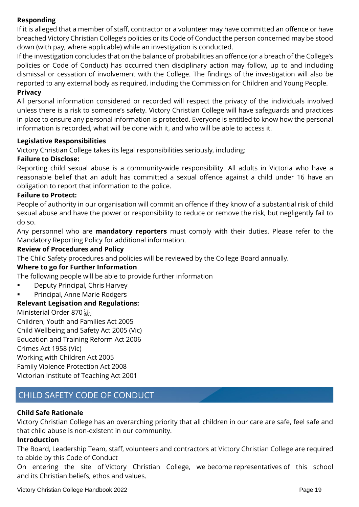### **Responding**

If it is alleged that a member of staff, contractor or a volunteer may have committed an offence or have breached Victory Christian College's policies or its Code of Conduct the person concerned may be stood down (with pay, where applicable) while an investigation is conducted.

If the investigation concludes that on the balance of probabilities an offence (or a breach of the College's policies or Code of Conduct) has occurred then disciplinary action may follow, up to and including dismissal or cessation of involvement with the College. The findings of the investigation will also be reported to any external body as required, including the Commission for Children and Young People.

### **Privacy**

All personal information considered or recorded will respect the privacy of the individuals involved unless there is a risk to someone's safety. Victory Christian College will have safeguards and practices in place to ensure any personal information is protected. Everyone is entitled to know how the personal information is recorded, what will be done with it, and who will be able to access it.

### **Legislative Responsibilities**

Victory Christian College takes its legal responsibilities seriously, including:

### **Failure to Disclose:**

Reporting child sexual abuse is a community-wide responsibility. All adults in Victoria who have a reasonable belief that an adult has committed a sexual offence against a child under 16 have an obligation to report that information to the police.

### **Failure to Protect:**

People of authority in our organisation will commit an offence if they know of a substantial risk of child sexual abuse and have the power or responsibility to reduce or remove the risk, but negligently fail to do so.

Any personnel who are **mandatory reporters** must comply with their duties. Please refer to the Mandatory Reporting Policy for additional information.

### **Review of Procedures and Policy**

The Child Safety procedures and policies will be reviewed by the College Board annually.

### **Where to go for Further Information**

The following people will be able to provide further information

- Deputy Principal, Chris Harvey
- Principal, Anne Marie Rodgers

### **Relevant Legisation and Regulations:**

Ministerial Order 870

Children, Youth and Families Act 2005 Child Wellbeing and Safety Act 2005 (Vic) Education and Training Reform Act 2006 Crimes Act 1958 (Vic) Working with Children Act 2005 Family Violence Protection Act 2008 Victorian Institute of Teaching Act 2001

# CHILD SAFETY CODE OF CONDUCT

### **Child Safe Rationale**

Victory Christian College has an overarching priority that all children in our care are safe, feel safe and that child abuse is non-existent in our community.

### **Introduction**

The Board, Leadership Team, staff, volunteers and contractors at Victory Christian College are required to abide by this Code of Conduct

On entering the site of Victory Christian College, we become representatives of this school and its Christian beliefs, ethos and values.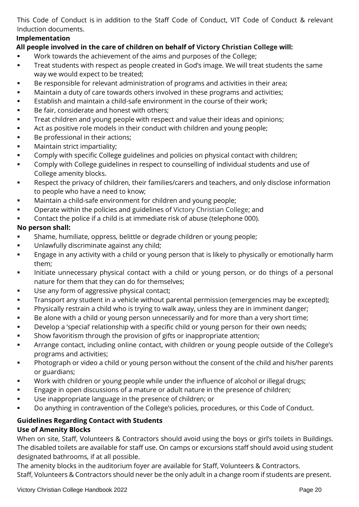This Code of Conduct is in addition to the Staff Code of Conduct, VIT Code of Conduct & relevant Induction documents.

### **Implementation**

### **All people involved in the care of children on behalf of Victory Christian College will:**

- Work towards the achievement of the aims and purposes of the College;
- **Treat students with respect as people created in God's image. We will treat students the same** way we would expect to be treated;
- Be responsible for relevant administration of programs and activities in their area;
- **■** Maintain a duty of care towards others involved in these programs and activities;
- Establish and maintain a child-safe environment in the course of their work;
- Be fair, considerate and honest with others;
- **Treat children and young people with respect and value their ideas and opinions;**
- Act as positive role models in their conduct with children and young people;
- Be professional in their actions;
- **■** Maintain strict impartiality;
- Comply with specific College guidelines and policies on physical contact with children;
- **Comply with College guidelines in respect to counselling of individual students and use of** College amenity blocks.
- Respect the privacy of children, their families/carers and teachers, and only disclose information to people who have a need to know;
- **■** Maintain a child-safe environment for children and young people;
- **•** Operate within the policies and guidelines of Victory Christian College; and
- Contact the police if a child is at immediate risk of abuse (telephone 000).

### **No person shall:**

- Shame, humiliate, oppress, belittle or degrade children or young people;
- Unlawfully discriminate against any child;
- **Engage in any activity with a child or young person that is likely to physically or emotionally harm** them;
- **■** Initiate unnecessary physical contact with a child or young person, or do things of a personal nature for them that they can do for themselves;
- **■** Use any form of aggressive physical contact;
- **Transport any student in a vehicle without parental permission (emergencies may be excepted);**
- **•** Physically restrain a child who is trying to walk away, unless they are in imminent danger;
- Be alone with a child or young person unnecessarily and for more than a very short time;
- **■** Develop a 'special' relationship with a specific child or young person for their own needs;
- **•** Show favoritism through the provision of gifts or inappropriate attention;
- Arrange contact, including online contact, with children or young people outside of the College's programs and activities;
- **•** Photograph or video a child or young person without the consent of the child and his/her parents or guardians;
- **■** Work with children or young people while under the influence of alcohol or illegal drugs;
- **Engage in open discussions of a mature or adult nature in the presence of children;**
- Use inappropriate language in the presence of children; or
- Do anything in contravention of the College's policies, procedures, or this Code of Conduct.

### **Guidelines Regarding Contact with Students Use of Amenity Blocks**

When on site, Staff, Volunteers & Contractors should avoid using the boys or girl's toilets in Buildings. The disabled toilets are available for staff use. On camps or excursions staff should avoid using student designated bathrooms, if at all possible.

The amenity blocks in the auditorium foyer are available for Staff, Volunteers & Contractors. Staff, Volunteers & Contractors should never be the only adult in a change room if students are present.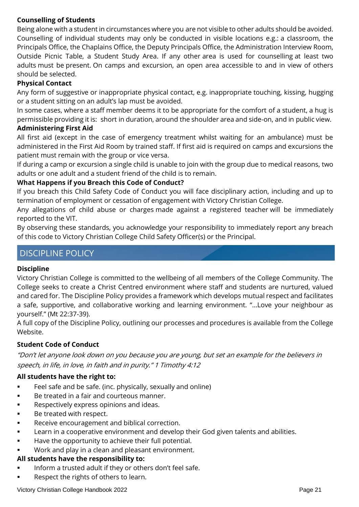### **Counselling of Students**

Being alone with a student in circumstances where you are not visible to other adults should be avoided. Counselling of individual students may only be conducted in visible locations e.g.: a classroom, the Principals Office, the Chaplains Office, the Deputy Principals Office, the Administration Interview Room, Outside Picnic Table, a Student Study Area. If any other area is used for counselling at least two adults must be present. On camps and excursion, an open area accessible to and in view of others should be selected.

### **Physical Contact**

Any form of suggestive or inappropriate physical contact, e.g. inappropriate touching, kissing, hugging or a student sitting on an adult's lap must be avoided.

In some cases, where a staff member deems it to be appropriate for the comfort of a student, a hug is permissible providing it is: short in duration, around the shoulder area and side-on, and in public view.

## **Administering First Aid**

All first aid (except in the case of emergency treatment whilst waiting for an ambulance) must be administered in the First Aid Room by trained staff. If first aid is required on camps and excursions the patient must remain with the group or vice versa.

If during a camp or excursion a single child is unable to join with the group due to medical reasons, two adults or one adult and a student friend of the child is to remain.

### **What Happens if you Breach this Code of Conduct?**

If you breach this Child Safety Code of Conduct you will face disciplinary action, including and up to termination of employment or cessation of engagement with Victory Christian College.

Any allegations of child abuse or charges made against a registered teacher will be immediately reported to the VIT.

By observing these standards, you acknowledge your responsibility to immediately report any breach of this code to Victory Christian College Child Safety Officer(s) or the Principal.

# DISCIPLINE POLICY

### **Discipline**

Victory Christian College is committed to the wellbeing of all members of the College Community. The College seeks to create a Christ Centred environment where staff and students are nurtured, valued and cared for. The Discipline Policy provides a framework which develops mutual respect and facilitates a safe, supportive, and collaborative working and learning environment. "…Love your neighbour as yourself." (Mt 22:37-39).

A full copy of the Discipline Policy, outlining our processes and procedures is available from the College Website.

### **Student Code of Conduct**

"Don't let anyone look down on you because you are young, but set an example for the believers in speech, in life, in love, in faith and in purity." 1 Timothy 4:12

### **All students have the right to:**

- Feel safe and be safe. (inc. physically, sexually and online)
- Be treated in a fair and courteous manner.
- **•** Respectively express opinions and ideas.
- Be treated with respect.
- Receive encouragement and biblical correction.
- **■** Learn in a cooperative environment and develop their God given talents and abilities.
- Have the opportunity to achieve their full potential.
- Work and play in a clean and pleasant environment.

### **All students have the responsibility to:**

- Inform a trusted adult if they or others don't feel safe.
- Respect the rights of others to learn.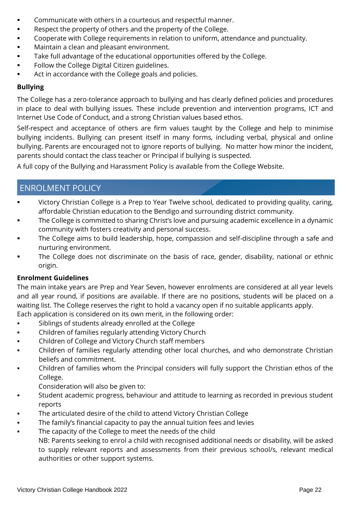- Communicate with others in a courteous and respectful manner.
- Respect the property of others and the property of the College.
- Cooperate with College requirements in relation to uniform, attendance and punctuality.
- Maintain a clean and pleasant environment.
- **■** Take full advantage of the educational opportunities offered by the College.
- **•** Follow the College Digital Citizen guidelines.
- Act in accordance with the College goals and policies.

### **Bullying**

The College has a zero-tolerance approach to bullying and has clearly defined policies and procedures in place to deal with bullying issues. These include prevention and intervention programs, ICT and Internet Use Code of Conduct, and a strong Christian values based ethos.

Self-respect and acceptance of others are firm values taught by the College and help to minimise bullying incidents. Bullying can present itself in many forms, including verbal, physical and online bullying. Parents are encouraged not to ignore reports of bullying. No matter how minor the incident, parents should contact the class teacher or Principal if bullying is suspected.

A full copy of the Bullying and Harassment Policy is available from the College Website.

# ENROLMENT POLICY

- Victory Christian College is a Prep to Year Twelve school, dedicated to providing quality, caring, affordable Christian education to the Bendigo and surrounding district community.
- The College is committed to sharing Christ's love and pursuing academic excellence in a dynamic community with fosters creativity and personal success.
- The College aims to build leadership, hope, compassion and self-discipline through a safe and nurturing environment.
- The College does not discriminate on the basis of race, gender, disability, national or ethnic origin.

### **Enrolment Guidelines**

The main intake years are Prep and Year Seven, however enrolments are considered at all year levels and all year round, if positions are available. If there are no positions, students will be placed on a waiting list. The College reserves the right to hold a vacancy open if no suitable applicants apply. Each application is considered on its own merit, in the following order:

- Siblings of students already enrolled at the College
- Children of families regularly attending Victory Church
- Children of College and Victory Church staff members
- Children of families regularly attending other local churches, and who demonstrate Christian beliefs and commitment.
- Children of families whom the Principal considers will fully support the Christian ethos of the College.
	- Consideration will also be given to:
- Student academic progress, behaviour and attitude to learning as recorded in previous student reports
- The articulated desire of the child to attend Victory Christian College
- The family's financial capacity to pay the annual tuition fees and levies
- The capacity of the College to meet the needs of the child

NB: Parents seeking to enrol a child with recognised additional needs or disability, will be asked to supply relevant reports and assessments from their previous school/s, relevant medical authorities or other support systems.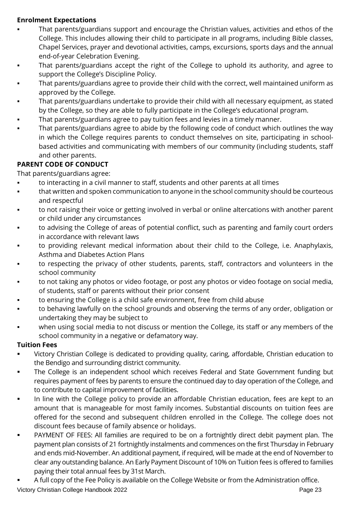### **Enrolment Expectations**

- That parents/guardians support and encourage the Christian values, activities and ethos of the College. This includes allowing their child to participate in all programs, including Bible classes, Chapel Services, prayer and devotional activities, camps, excursions, sports days and the annual end-of-year Celebration Evening.
- That parents/guardians accept the right of the College to uphold its authority, and agree to support the College's Discipline Policy.
- That parents/guardians agree to provide their child with the correct, well maintained uniform as approved by the College.
- That parents/guardians undertake to provide their child with all necessary equipment, as stated by the College, so they are able to fully participate in the College's educational program.
- That parents/guardians agree to pay tuition fees and levies in a timely manner.
- That parents/guardians agree to abide by the following code of conduct which outlines the way in which the College requires parents to conduct themselves on site, participating in schoolbased activities and communicating with members of our community (including students, staff and other parents.

# **PARENT CODE OF CONDUCT**

That parents/guardians agree:

- to interacting in a civil manner to staff, students and other parents at all times
- that written and spoken communication to anyone in the school community should be courteous and respectful
- to not raising their voice or getting involved in verbal or online altercations with another parent or child under any circumstances
- to advising the College of areas of potential conflict, such as parenting and family court orders in accordance with relevant laws
- to providing relevant medical information about their child to the College, i.e. Anaphylaxis, Asthma and Diabetes Action Plans
- to respecting the privacy of other students, parents, staff, contractors and volunteers in the school community
- to not taking any photos or video footage, or post any photos or video footage on social media, of students, staff or parents without their prior consent
- to ensuring the College is a child safe environment, free from child abuse
- to behaving lawfully on the school grounds and observing the terms of any order, obligation or undertaking they may be subject to
- when using social media to not discuss or mention the College, its staff or any members of the school community in a negative or defamatory way.

## **Tuition Fees**

- Victory Christian College is dedicated to providing quality, caring, affordable, Christian education to the Bendigo and surrounding district community.
- The College is an independent school which receives Federal and State Government funding but requires payment of fees by parents to ensure the continued day to day operation of the College, and to contribute to capital improvement of facilities.
- In line with the College policy to provide an affordable Christian education, fees are kept to an amount that is manageable for most family incomes. Substantial discounts on tuition fees are offered for the second and subsequent children enrolled in the College. The college does not discount fees because of family absence or holidays.
- PAYMENT OF FEES: All families are required to be on a fortnightly direct debit payment plan. The payment plan consists of 21 fortnightly instalments and commences on the first Thursday in February and ends mid-November. An additional payment, if required, will be made at the end of November to clear any outstanding balance. An Early Payment Discount of 10% on Tuition fees is offered to families paying their total annual fees by 31st March.
- Victory Christian College Handbook 2022 **Page 23** Page 23 A full copy of the Fee Policy is available on the College Website or from the Administration office.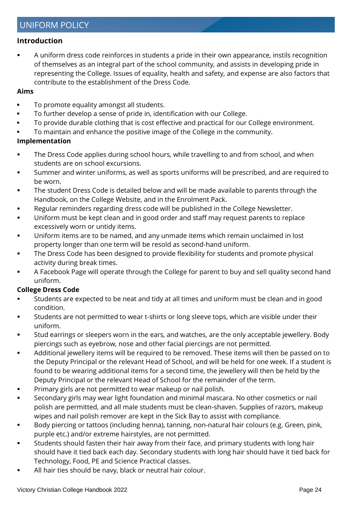### **Introduction**

A uniform dress code reinforces in students a pride in their own appearance, instils recognition of themselves as an integral part of the school community, and assists in developing pride in representing the College. Issues of equality, health and safety, and expense are also factors that contribute to the establishment of the Dress Code.

### **Aims**

- To promote equality amongst all students.
- To further develop a sense of pride in, identification with our College.
- To provide durable clothing that is cost effective and practical for our College environment.
- To maintain and enhance the positive image of the College in the community.

### **Implementation**

- **The Dress Code applies during school hours, while travelling to and from school, and when** students are on school excursions.
- Summer and winter uniforms, as well as sports uniforms will be prescribed, and are required to be worn.
- The student Dress Code is detailed below and will be made available to parents through the Handbook, on the College Website, and in the Enrolment Pack.
- Regular reminders regarding dress code will be published in the College Newsletter.
- **■** Uniform must be kept clean and in good order and staff may request parents to replace excessively worn or untidy items.
- Uniform items are to be named, and any unmade items which remain unclaimed in lost property longer than one term will be resold as second-hand uniform.
- The Dress Code has been designed to provide flexibility for students and promote physical activity during break times.
- A Facebook Page will operate through the College for parent to buy and sell quality second hand uniform.

### **College Dress Code**

- **EXECT** Students are expected to be neat and tidy at all times and uniform must be clean and in good condition.
- **EXECT** Students are not permitted to wear t-shirts or long sleeve tops, which are visible under their uniform.
- Stud earrings or sleepers worn in the ears, and watches, are the only acceptable jewellery. Body piercings such as eyebrow, nose and other facial piercings are not permitted.
- Additional jewellery items will be required to be removed. These items will then be passed on to the Deputy Principal or the relevant Head of School, and will be held for one week. If a student is found to be wearing additional items for a second time, the jewellery will then be held by the Deputy Principal or the relevant Head of School for the remainder of the term.
- Primary girls are not permitted to wear makeup or nail polish.
- Secondary girls may wear light foundation and minimal mascara. No other cosmetics or nail polish are permitted, and all male students must be clean-shaven. Supplies of razors, makeup wipes and nail polish remover are kept in the Sick Bay to assist with compliance.
- Body piercing or tattoos (including henna), tanning, non-natural hair colours (e.g. Green, pink, purple etc.) and/or extreme hairstyles, are not permitted.
- Students should fasten their hair away from their face, and primary students with long hair should have it tied back each day. Secondary students with long hair should have it tied back for Technology, Food, PE and Science Practical classes.
- All hair ties should be navy, black or neutral hair colour.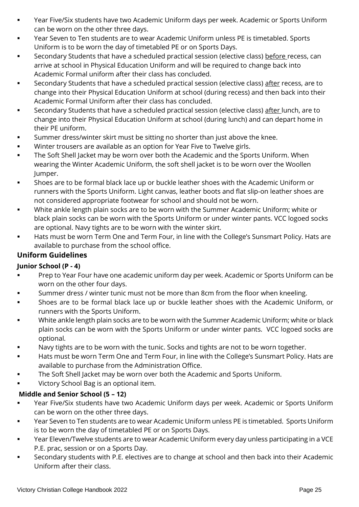- Year Five/Six students have two Academic Uniform days per week. Academic or Sports Uniform can be worn on the other three days.
- Year Seven to Ten students are to wear Academic Uniform unless PE is timetabled. Sports Uniform is to be worn the day of timetabled PE or on Sports Days.
- **EXECONDARY Students that have a scheduled practical session (elective class) before recess, can** arrive at school in Physical Education Uniform and will be required to change back into Academic Formal uniform after their class has concluded.
- Secondary Students that have a scheduled practical session (elective class) after recess, are to change into their Physical Education Uniform at school (during recess) and then back into their Academic Formal Uniform after their class has concluded.
- **EXECONDER** Secondary Students that have a scheduled practical session (elective class) after lunch, are to change into their Physical Education Uniform at school (during lunch) and can depart home in their PE uniform.
- Summer dress/winter skirt must be sitting no shorter than just above the knee.
- **■** Winter trousers are available as an option for Year Five to Twelve girls.
- The Soft Shell Jacket may be worn over both the Academic and the Sports Uniform. When wearing the Winter Academic Uniform, the soft shell jacket is to be worn over the Woollen Jumper.
- Shoes are to be formal black lace up or buckle leather shoes with the Academic Uniform or runners with the Sports Uniform. Light canvas, leather boots and flat slip-on leather shoes are not considered appropriate footwear for school and should not be worn.
- White ankle length plain socks are to be worn with the Summer Academic Uniform; white or black plain socks can be worn with the Sports Uniform or under winter pants. VCC logoed socks are optional. Navy tights are to be worn with the winter skirt.
- Hats must be worn Term One and Term Four, in line with the College's Sunsmart Policy. Hats are available to purchase from the school office.

## **Uniform Guidelines**

## **Junior School (P - 4)**

- **Prep to Year Four have one academic uniform day per week. Academic or Sports Uniform can be** worn on the other four days.
- Summer dress / winter tunic must not be more than 8cm from the floor when kneeling.
- Shoes are to be formal black lace up or buckle leather shoes with the Academic Uniform, or runners with the Sports Uniform.
- White ankle length plain socks are to be worn with the Summer Academic Uniform; white or black plain socks can be worn with the Sports Uniform or under winter pants. VCC logoed socks are optional.
- Navy tights are to be worn with the tunic. Socks and tights are not to be worn together.
- Hats must be worn Term One and Term Four, in line with the College's Sunsmart Policy. Hats are available to purchase from the Administration Office.
- The Soft Shell Jacket may be worn over both the Academic and Sports Uniform.
- Victory School Bag is an optional item.

### **Middle and Senior School (5 – 12)**

- Year Five/Six students have two Academic Uniform days per week. Academic or Sports Uniform can be worn on the other three days.
- Year Seven to Ten students are to wear Academic Uniform unless PE is timetabled. Sports Uniform is to be worn the day of timetabled PE or on Sports Days.
- Year Eleven/Twelve students are to wear Academic Uniform every day unless participating in a VCE P.E. prac, session or on a Sports Day.
- Secondary students with P.E. electives are to change at school and then back into their Academic Uniform after their class.